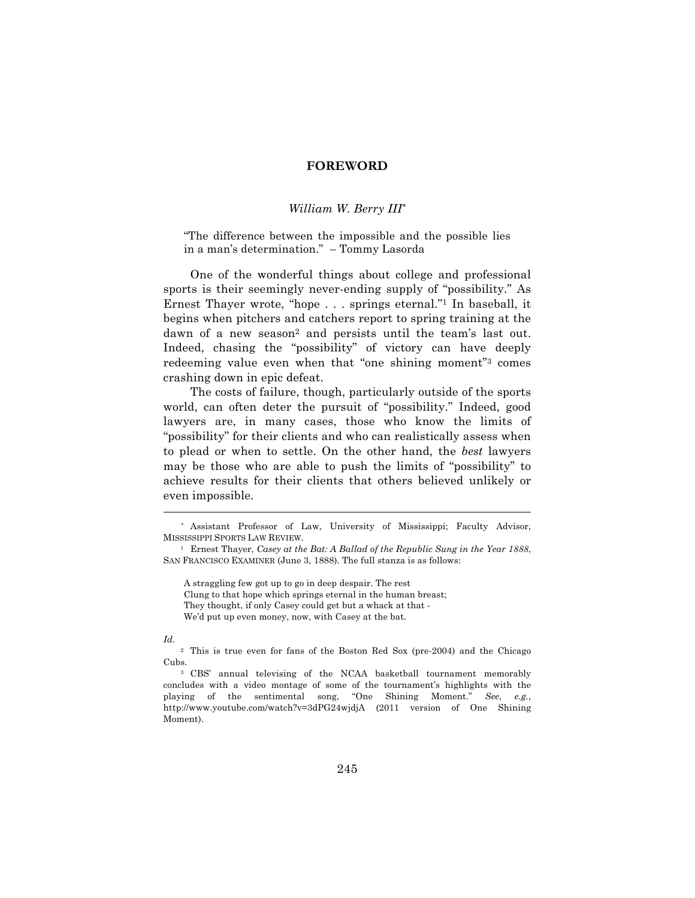## **FOREWORD**

## *William W. Berry III\**

"The difference between the impossible and the possible lies in a man's determination." – Tommy Lasorda

One of the wonderful things about college and professional sports is their seemingly never-ending supply of "possibility." As Ernest Thayer wrote, "hope . . . springs eternal."1 In baseball, it begins when pitchers and catchers report to spring training at the dawn of a new season<sup>2</sup> and persists until the team's last out. Indeed, chasing the "possibility" of victory can have deeply redeeming value even when that "one shining moment"3 comes crashing down in epic defeat.

The costs of failure, though, particularly outside of the sports world, can often deter the pursuit of "possibility." Indeed, good lawyers are, in many cases, those who know the limits of "possibility" for their clients and who can realistically assess when to plead or when to settle. On the other hand, the *best* lawyers may be those who are able to push the limits of "possibility" to achieve results for their clients that others believed unlikely or even impossible.

 $\overline{a}$ 

<sup>\*</sup> Assistant Professor of Law, University of Mississippi; Faculty Advisor, MISSISSIPPI SPORTS LAW REVIEW.

<sup>1</sup> Ernest Thayer, *Casey at the Bat: A Ballad of the Republic Sung in the Year 1888*, SAN FRANCISCO EXAMINER (June 3, 1888). The full stanza is as follows:

A straggling few got up to go in deep despair. The rest

Clung to that hope which springs eternal in the human breast;

They thought, if only Casey could get but a whack at that -

We'd put up even money, now, with Casey at the bat.

*Id.*

<sup>2</sup> This is true even for fans of the Boston Red Sox (pre-2004) and the Chicago Cubs.

<sup>3</sup> CBS' annual televising of the NCAA basketball tournament memorably concludes with a video montage of some of the tournament's highlights with the playing of the sentimental song, "One Shining Moment." *See*, *e.g.*, http://www.youtube.com/watch?v=3dPG24wjdjA (2011 version of One Shining Moment).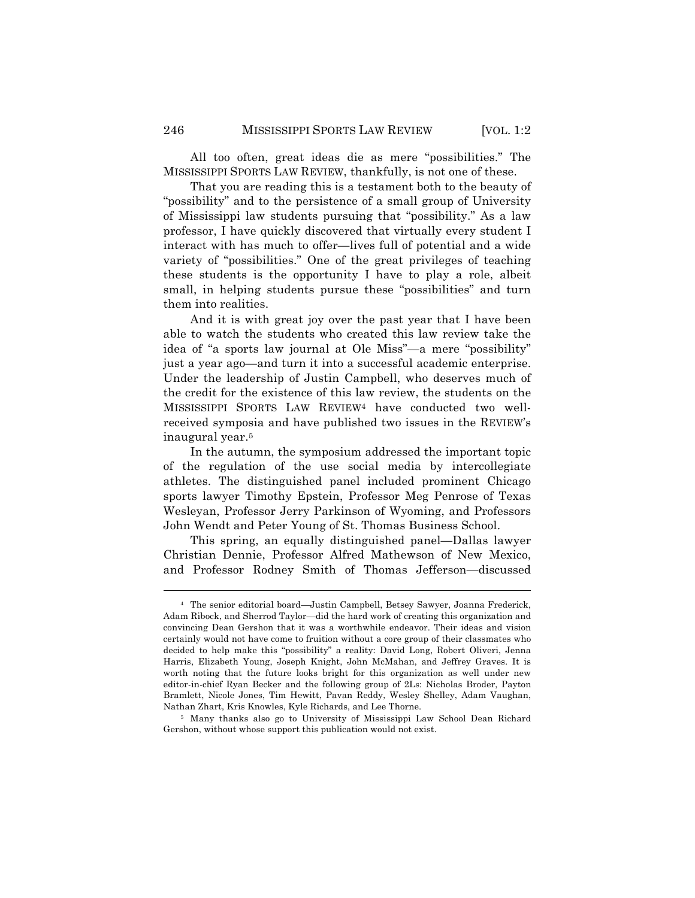All too often, great ideas die as mere "possibilities." The MISSISSIPPI SPORTS LAW REVIEW, thankfully, is not one of these.

That you are reading this is a testament both to the beauty of "possibility" and to the persistence of a small group of University of Mississippi law students pursuing that "possibility." As a law professor, I have quickly discovered that virtually every student I interact with has much to offer—lives full of potential and a wide variety of "possibilities." One of the great privileges of teaching these students is the opportunity I have to play a role, albeit small, in helping students pursue these "possibilities" and turn them into realities.

And it is with great joy over the past year that I have been able to watch the students who created this law review take the idea of "a sports law journal at Ole Miss"—a mere "possibility" just a year ago—and turn it into a successful academic enterprise. Under the leadership of Justin Campbell, who deserves much of the credit for the existence of this law review, the students on the MISSISSIPPI SPORTS LAW REVIEW4 have conducted two wellreceived symposia and have published two issues in the REVIEW's inaugural year.5

In the autumn, the symposium addressed the important topic of the regulation of the use social media by intercollegiate athletes. The distinguished panel included prominent Chicago sports lawyer Timothy Epstein, Professor Meg Penrose of Texas Wesleyan, Professor Jerry Parkinson of Wyoming, and Professors John Wendt and Peter Young of St. Thomas Business School.

This spring, an equally distinguished panel—Dallas lawyer Christian Dennie, Professor Alfred Mathewson of New Mexico, and Professor Rodney Smith of Thomas Jefferson—discussed

<sup>5</sup> Many thanks also go to University of Mississippi Law School Dean Richard Gershon, without whose support this publication would not exist.

 $\overline{a}$ 

<sup>4</sup> The senior editorial board—Justin Campbell, Betsey Sawyer, Joanna Frederick, Adam Ribock, and Sherrod Taylor—did the hard work of creating this organization and convincing Dean Gershon that it was a worthwhile endeavor. Their ideas and vision certainly would not have come to fruition without a core group of their classmates who decided to help make this "possibility" a reality: David Long, Robert Oliveri, Jenna Harris, Elizabeth Young, Joseph Knight, John McMahan, and Jeffrey Graves. It is worth noting that the future looks bright for this organization as well under new editor-in-chief Ryan Becker and the following group of 2Ls: Nicholas Broder, Payton Bramlett, Nicole Jones, Tim Hewitt, Pavan Reddy, Wesley Shelley, Adam Vaughan, Nathan Zhart, Kris Knowles, Kyle Richards, and Lee Thorne.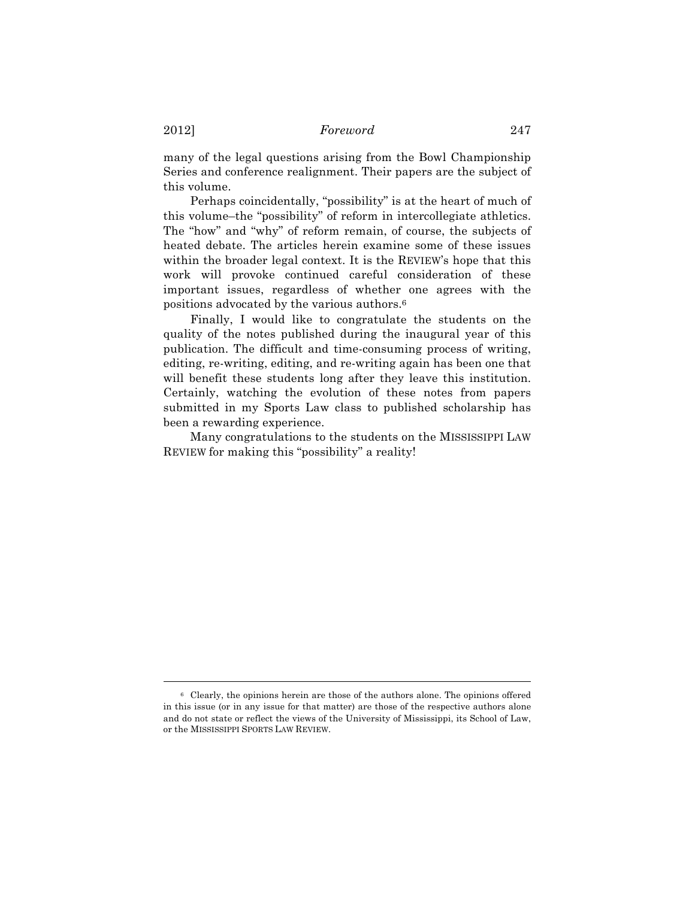2012] *Foreword* 247

many of the legal questions arising from the Bowl Championship Series and conference realignment. Their papers are the subject of this volume.

Perhaps coincidentally, "possibility" is at the heart of much of this volume–the "possibility" of reform in intercollegiate athletics. The "how" and "why" of reform remain, of course, the subjects of heated debate. The articles herein examine some of these issues within the broader legal context. It is the REVIEW's hope that this work will provoke continued careful consideration of these important issues, regardless of whether one agrees with the positions advocated by the various authors.6

Finally, I would like to congratulate the students on the quality of the notes published during the inaugural year of this publication. The difficult and time-consuming process of writing, editing, re-writing, editing, and re-writing again has been one that will benefit these students long after they leave this institution. Certainly, watching the evolution of these notes from papers submitted in my Sports Law class to published scholarship has been a rewarding experience.

Many congratulations to the students on the MISSISSIPPI LAW REVIEW for making this "possibility" a reality!

 $\overline{a}$ 

<sup>6</sup> Clearly, the opinions herein are those of the authors alone. The opinions offered in this issue (or in any issue for that matter) are those of the respective authors alone and do not state or reflect the views of the University of Mississippi, its School of Law, or the MISSISSIPPI SPORTS LAW REVIEW.